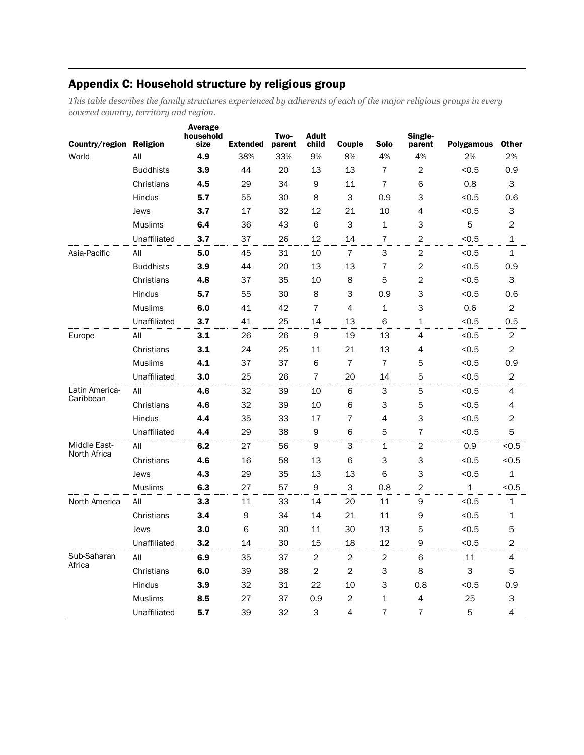## Appendix C: Household structure by religious group

*This table describes the family structures experienced by adherents of each of the major religious groups in every covered country, territory and region.*

| Country/region Religion      |                  | <b>Average</b><br>household<br>size | <b>Extended</b> | Two-<br>parent | <b>Adult</b><br>child | Couple         | <b>Solo</b>    | Single-<br>parent        | <b>Polygamous</b> | <b>Other</b>   |
|------------------------------|------------------|-------------------------------------|-----------------|----------------|-----------------------|----------------|----------------|--------------------------|-------------------|----------------|
| World                        | All              | 4.9                                 | 38%             | 33%            | 9%                    | 8%             | 4%             | 4%                       | 2%                | 2%             |
|                              | <b>Buddhists</b> | 3.9                                 | 44              | 20             | 13                    | 13             | 7              | 2                        | < 0.5             | 0.9            |
|                              | Christians       | 4.5                                 | 29              | 34             | 9                     | 11             | $\overline{7}$ | 6                        | 0.8               | 3              |
|                              | Hindus           | 5.7                                 | 55              | 30             | 8                     | 3              | 0.9            | 3                        | < 0.5             | 0.6            |
|                              | Jews             | 3.7                                 | 17              | 32             | 12                    | 21             | 10             | 4                        | < 0.5             | 3              |
|                              | <b>Muslims</b>   | 6.4                                 | 36              | 43             | 6                     | 3              | $\mathbf{1}$   | 3                        | 5                 | $\overline{2}$ |
|                              | Unaffiliated     | 3.7                                 | 37              | 26             | 12                    | 14             | $\overline{7}$ | $\overline{c}$           | < 0.5             | 1              |
| Asia-Pacific                 | All              | 5.0                                 | 45              | 31             | 10                    | $\overline{7}$ | 3              | $\overline{c}$           | < 0.5             | $\mathbf 1$    |
|                              | <b>Buddhists</b> | 3.9                                 | 44              | 20             | 13                    | 13             | 7              | $\overline{c}$           | < 0.5             | 0.9            |
|                              | Christians       | 4.8                                 | 37              | 35             | 10                    | 8              | 5              | $\overline{c}$           | < 0.5             | 3              |
|                              | Hindus           | 5.7                                 | 55              | 30             | 8                     | 3              | 0.9            | 3                        | < 0.5             | 0.6            |
|                              | <b>Muslims</b>   | 6.0                                 | 41              | 42             | $\overline{7}$        | 4              | $\mathbf 1$    | 3                        | 0.6               | $\overline{c}$ |
|                              | Unaffiliated     | 3.7                                 | 41              | 25             | 14                    | 13             | 6              | $\mathbf{1}$             | < 0.5             | 0.5            |
| Europe                       | All              | 3.1                                 | 26              | 26             | 9                     | 19             | 13             | $\overline{\mathcal{A}}$ | < 0.5             | 2              |
|                              | Christians       | 3.1                                 | 24              | 25             | 11                    | 21             | 13             | 4                        | < 0.5             | 2              |
|                              | <b>Muslims</b>   | 4.1                                 | 37              | 37             | 6                     | 7              | $\overline{7}$ | 5                        | < 0.5             | 0.9            |
|                              | Unaffiliated     | 3.0                                 | 25              | 26             | $\overline{7}$        | 20             | 14             | 5                        | < 0.5             | $\overline{2}$ |
| Latin America-               | All              | 4.6                                 | 32              | 39             | 10                    | 6              | 3              | 5                        | < 0.5             | 4              |
| Caribbean                    | Christians       | 4.6                                 | 32              | 39             | 10                    | 6              | 3              | 5                        | < 0.5             | 4              |
|                              | Hindus           | 4.4                                 | 35              | 33             | 17                    | 7              | 4              | 3                        | < 0.5             | $\overline{c}$ |
|                              | Unaffiliated     | 4.4                                 | 29              | 38             | 9                     | 6              | 5              | 7                        | < 0.5             | 5              |
| Middle East-<br>North Africa | All              | 6.2                                 | 27              | 56             | 9                     | 3              | $\mathbf{1}$   | $\overline{2}$           | 0.9               | < 0.5          |
|                              | Christians       | 4.6                                 | 16              | 58             | 13                    | 6              | 3              | 3                        | < 0.5             | < 0.5          |
|                              | Jews             | 4.3                                 | 29              | 35             | 13                    | 13             | 6              | 3                        | < 0.5             | 1              |
|                              | <b>Muslims</b>   | 6.3                                 | 27              | 57             | 9                     | 3              | 0.8            | 2                        | 1                 | < 0.5          |
| North America                | All              | 3.3                                 | 11              | 33             | 14                    | 20             | 11             | 9                        | < 0.5             | $\mathbf{1}$   |
|                              | Christians       | 3.4                                 | 9               | 34             | 14                    | 21             | 11             | 9                        | < 0.5             | $\mathbf{1}$   |
|                              | Jews             | 3.0                                 | 6               | 30             | 11                    | 30             | 13             | 5                        | < 0.5             | 5              |
|                              | Unaffiliated     | 3.2                                 | 14              | 30             | 15                    | 18             | 12             | 9                        | < 0.5             | $\sqrt{2}$     |
| Sub-Saharan                  | All              | 6.9                                 | 35              | 37             | $\overline{c}$        | $\overline{c}$ | $\overline{c}$ | 6                        | 11                | 4              |
| Africa                       | Christians       | 6.0                                 | 39              | 38             | $\overline{2}$        | $\overline{c}$ | 3              | 8                        | 3                 | 5              |
|                              | Hindus           | 3.9                                 | 32              | 31             | 22                    | 10             | 3              | 0.8                      | < 0.5             | 0.9            |
|                              | <b>Muslims</b>   | 8.5                                 | 27              | 37             | 0.9                   | 2              | $\mathbf 1$    | 4                        | 25                | 3              |
|                              | Unaffiliated     | 5.7                                 | 39              | 32             | 3                     | 4              | $\overline{7}$ | $\overline{7}$           | 5                 | $\overline{4}$ |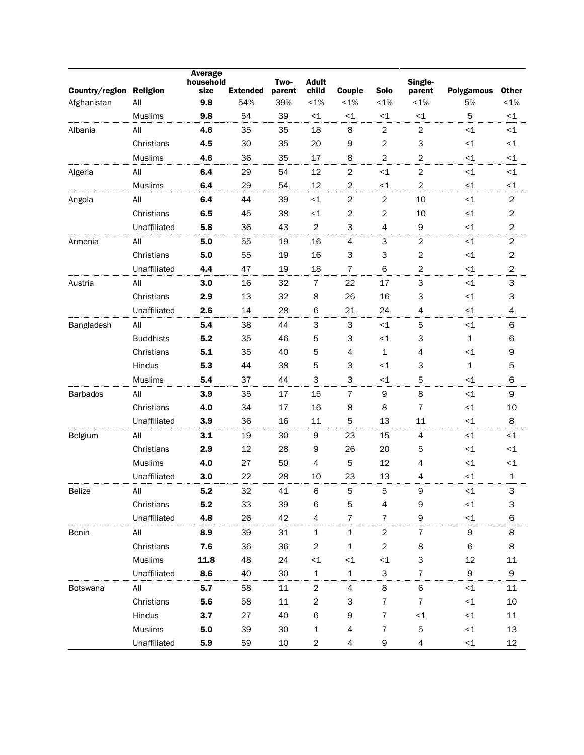| Country/region Religion |                  | <b>Average</b><br>household<br>size | <b>Extended</b> | Two-<br>parent | <b>Adult</b><br>child   | Couple                    | <b>Solo</b>      | Single-<br>parent | <b>Polygamous</b> | <b>Other</b>   |
|-------------------------|------------------|-------------------------------------|-----------------|----------------|-------------------------|---------------------------|------------------|-------------------|-------------------|----------------|
| Afghanistan             | All              | 9.8                                 | 54%             | 39%            | $< 1\%$                 | $< 1\%$                   | $< 1\%$          | $< 1\%$           | 5%                | $< 1\%$        |
|                         | <b>Muslims</b>   | 9.8                                 | 54              | 39             | $\leq$ 1                | $\leq$ 1                  | $<1$             | $\leq$ 1          | 5                 | $\leq$ 1       |
| Albania                 | All              | 4.6                                 | 35              | 35             | 18                      | 8                         | $\boldsymbol{2}$ | $\boldsymbol{2}$  | ${<}1$            | $\leq$ 1       |
|                         | Christians       | 4.5                                 | 30              | 35             | 20                      | 9                         | $\overline{c}$   | 3                 | ${<}1$            | $\leq$ 1       |
|                         | <b>Muslims</b>   | 4.6                                 | 36              | 35             | 17                      | 8                         | $\overline{c}$   | $\overline{2}$    | ${<}1$            | $\leq$ 1       |
| Algeria                 | All              | 6.4                                 | 29              | 54             | 12                      | $\sqrt{2}$                | $<$ 1            | $\overline{2}$    | ${<}1$            | $\leq$ 1       |
|                         | <b>Muslims</b>   | 6.4                                 | 29              | 54             | 12                      | $\boldsymbol{2}$          | $<1$             | $\overline{2}$    | ${<}1$            | $\leq$ 1       |
| Angola                  | All              | 6.4                                 | 44              | 39             | $<$ 1                   | $\overline{2}$            | $\overline{c}$   | 10                | $\leq$ 1          | $\overline{c}$ |
|                         | Christians       | 6.5                                 | 45              | 38             | $<$ 1                   | 2                         | $\overline{c}$   | 10                | ${<}1$            | 2              |
|                         | Unaffiliated     | 5.8                                 | 36              | 43             | $\boldsymbol{2}$        | 3                         | 4                | 9                 | ${<}1$            | $\overline{c}$ |
| Armenia                 | All              | 5.0                                 | 55              | 19             | 16                      | $\overline{4}$            | 3                | $\overline{c}$    | ${<}1$            | $\overline{c}$ |
|                         | Christians       | 5.0                                 | 55              | 19             | 16                      | З                         | З                | $\sqrt{2}$        | ${<}1$            | 2              |
|                         | Unaffiliated     | 4.4                                 | 47              | 19             | 18                      | $\overline{7}$            | 6                | $\overline{2}$    | $<$ 1             | 2              |
| Austria                 | All              | 3.0                                 | 16              | 32             | 7                       | 22                        | 17               | 3                 | ${<}1$            | 3              |
|                         | Christians       | 2.9                                 | 13              | 32             | 8                       | 26                        | 16               | 3                 | ${<}1$            | 3              |
|                         | Unaffiliated     | 2.6                                 | 14              | 28             | 6                       | 21                        | 24               | 4                 | ${<}1$            | 4              |
| Bangladesh              | All              | 5.4                                 | 38              | 44             | 3                       | $\ensuremath{\mathsf{3}}$ | $<1$             | $\sqrt{5}$        | ${<}1$            | 6              |
|                         | <b>Buddhists</b> | 5.2                                 | 35              | 46             | 5                       | З                         | ~1               | 3                 | $\mathbf{1}$      | 6              |
|                         | Christians       | 5.1                                 | 35              | 40             | 5                       | 4                         | 1                | 4                 | ${<}1$            | 9              |
|                         | Hindus           | 5.3                                 | 44              | 38             | 5                       | З                         | $<1$             | 3                 | $\mathbf{1}$      | 5              |
|                         | Muslims          | 5.4                                 | 37              | 44             | 3                       | 3                         | $<1$             | 5                 | $<$ 1             | 6              |
| <b>Barbados</b>         | All              | 3.9                                 | 35              | 17             | 15                      | $\overline{7}$            | 9                | 8                 | ${<}1$            | $\mathsf 9$    |
|                         | Christians       | 4.0                                 | 34              | 17             | 16                      | 8                         | 8                | $\overline{7}$    | ${<}1$            | 10             |
|                         | Unaffiliated     | 3.9                                 | 36              | 16             | 11                      | 5                         | 13               | 11                | $\leq$ 1          | 8              |
| Belgium                 | All              | 3.1                                 | 19              | 30             | 9                       | 23                        | 15               | $\overline{4}$    | ${<}1$            | $\leq$ 1       |
|                         | Christians       | 2.9                                 | 12              | 28             | 9                       | 26                        | 20               | 5                 | ${<}1$            | $\leq$ 1       |
|                         | <b>Muslims</b>   | 4.0                                 | 27              | 50             | 4                       | 5                         | 12               | $\overline{4}$    | $\leq$ 1          | $\leq$ 1       |
|                         | Unaffiliated     | 3.0                                 | 22              | 28             | 10                      | 23                        | 13               | 4                 | $\leq$ 1          | 1              |
| <b>Belize</b>           | All              | 5.2                                 | 32              | 41             | 6                       | 5                         | 5                | $\mathsf 9$       | $<$ 1             | 3              |
|                         | Christians       | 5.2                                 | 33              | 39             | 6                       | 5                         | 4                | 9                 | ${<}1$            | 3              |
|                         | Unaffiliated     | 4.8                                 | 26              | 42             | $\overline{4}$          | $\overline{7}$            | $\overline{7}$   | $\mathsf 9$       | ${<}1$            | 6              |
| Benin                   | All              | 8.9                                 | 39              | 31             | 1                       | $\mathbf 1$               | $\overline{c}$   | $\sqrt{7}$        | 9                 | 8              |
|                         | Christians       | 7.6                                 | 36              | 36             | $\overline{c}$          | $\mathbf 1$               | $\overline{c}$   | 8                 | 6                 | 8              |
|                         | <b>Muslims</b>   | 11.8                                | 48              | 24             | ${<}1$                  | ${<}1$                    | ${<}1$           | 3                 | 12                | 11             |
|                         | Unaffiliated     | 8.6                                 | 40              | 30             | $\mathbf{1}$            | $\mathbf 1$               | 3                | $\overline{7}$    | 9                 | $\mathsf 9$    |
| Botswana                | All              | 5.7                                 | 58              | 11             | $\overline{c}$          | $\overline{4}$            | $\bf 8$          | $\mathsf 6$       | ${<}1$            | $11\,$         |
|                         | Christians       | 5.6                                 | 58              | 11             | $\overline{c}$          | 3                         | $\overline{7}$   | $\overline{7}$    | ${<}1$            | 10             |
|                         | Hindus           | 3.7                                 | 27              | 40             | 6                       | 9                         | $\bf 7$          | ${<}1$            | ${<}1$            | 11             |
|                         | <b>Muslims</b>   | 5.0                                 | 39              | 30             | $\mathbf 1$             | 4                         | $\overline{7}$   | 5                 | ${<}1$            | 13             |
|                         | Unaffiliated     | 5.9                                 | 59              | 10             | $\overline{\mathbf{c}}$ | 4                         | 9                | $\overline{4}$    | ${<}1$            | $12\,$         |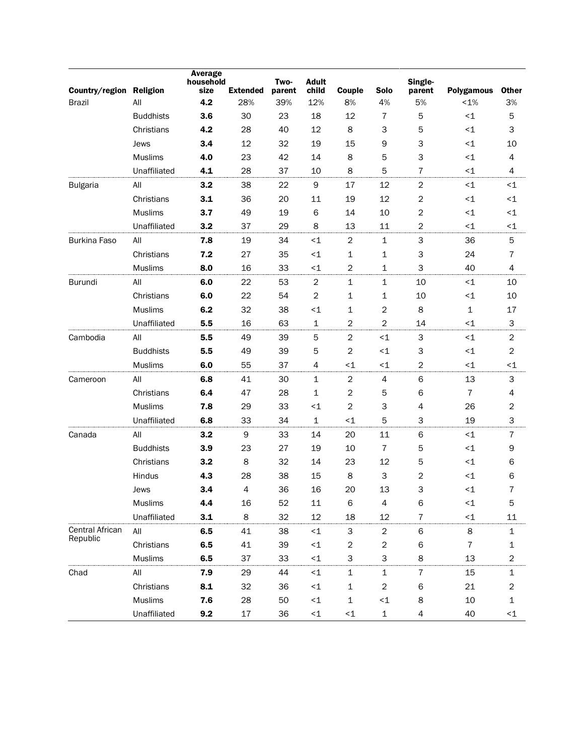| Country/region Religion<br><b>Brazil</b> | All              | <b>Average</b><br>household<br>size<br>4.2 | <b>Extended</b><br>28% | Two-<br>parent<br>39% | <b>Adult</b><br>child<br>12% | Couple<br>8%     | <b>Solo</b><br>4%       | Single-<br>parent<br>5% | Polygamous<br>$< 1\%$ | <b>Other</b>   |
|------------------------------------------|------------------|--------------------------------------------|------------------------|-----------------------|------------------------------|------------------|-------------------------|-------------------------|-----------------------|----------------|
|                                          | <b>Buddhists</b> | 3.6                                        | 30                     | 23                    | 18                           | 12               | $\overline{7}$          |                         | $<$ 1                 | 3%             |
|                                          |                  | 4.2                                        | 28                     | 40                    | 12                           | 8                |                         | 5                       | ${<}1$                | 5<br>3         |
|                                          | Christians       |                                            |                        |                       |                              |                  | З                       | 5<br>3                  |                       |                |
|                                          | Jews             | 3.4                                        | 12                     | 32                    | 19                           | 15               | 9                       |                         | ${<}1$                | 10             |
|                                          | <b>Muslims</b>   | 4.0                                        | 23                     | 42                    | 14                           | 8                | 5                       | 3                       | ${<}1$                | 4              |
|                                          | Unaffiliated     | 4.1                                        | 28                     | 37                    | 10                           | 8                | 5                       | $\overline{7}$          | ${<}1$                | 4              |
| <b>Bulgaria</b>                          | All              | 3.2                                        | 38                     | 22                    | 9                            | 17               | 12                      | $\overline{2}$          | ${<}1$                | $\leq$ 1       |
|                                          | Christians       | 3.1                                        | 36                     | 20                    | 11                           | 19               | 12                      | $\overline{2}$          | $\leq$ 1              | $\leq$ 1       |
|                                          | <b>Muslims</b>   | 3.7                                        | 49                     | 19                    | 6                            | 14               | 10                      | $\sqrt{2}$              | ${<}1$                | $\leq$ 1       |
|                                          | Unaffiliated     | 3.2                                        | 37                     | 29                    | 8                            | 13               | 11                      | $\overline{2}$          | ${<}1$                | $\leq$ 1       |
| <b>Burkina Faso</b>                      | All              | 7.8                                        | 19                     | 34                    | ~1                           | $\boldsymbol{2}$ | $\mathbf{1}$            | 3                       | 36                    | 5              |
|                                          | Christians       | 7.2                                        | 27                     | 35                    | $\leq$ 1                     | 1                | 1                       | 3                       | 24                    | 7              |
|                                          | <b>Muslims</b>   | 8.0                                        | 16                     | 33                    | $\leq$ 1                     | $\overline{c}$   | 1                       | 3                       | 40                    | 4              |
| Burundi                                  | All              | 6.0                                        | 22                     | 53                    | $\boldsymbol{2}$             | $\mathbf 1$      | $\mathbf 1$             | 10                      | ${<}1$                | 10             |
|                                          | Christians       | 6.0                                        | 22                     | 54                    | $\boldsymbol{2}$             | 1                | 1                       | 10                      | ${<}1$                | 10             |
|                                          | <b>Muslims</b>   | 6.2                                        | 32                     | 38                    | ~1                           | 1                | $\overline{\mathbf{c}}$ | 8                       | $\mathbf{1}$          | 17             |
|                                          | Unaffiliated     | 5.5                                        | 16                     | 63                    | $\mathbf 1$                  | $\overline{c}$   | $\overline{c}$          | 14                      | $<$ 1                 | 3              |
| Cambodia                                 | All              | 5.5                                        | 49                     | 39                    | 5                            | $\boldsymbol{2}$ | $<1$                    | 3                       | ${<}1$                | $\mathbf 2$    |
|                                          | <b>Buddhists</b> | 5.5                                        | 49                     | 39                    | 5                            | $\boldsymbol{2}$ | $<1$                    | 3                       | ${<}1$                | $\overline{c}$ |
|                                          | <b>Muslims</b>   | 6.0                                        | 55                     | 37                    | 4                            | $<$ 1            | ${<}1$                  | $\sqrt{2}$              | $\leq$ 1              | $\leq$ 1       |
| Cameroon                                 | All              | 6.8                                        | 41                     | 30                    | $\mathbf 1$                  | $\sqrt{2}$       | 4                       | $\,$ 6                  | 13                    | 3              |
|                                          | Christians       | 6.4                                        | 47                     | 28                    | $\mathbf 1$                  | $\boldsymbol{2}$ | 5                       | 6                       | $\overline{7}$        | 4              |
|                                          | <b>Muslims</b>   | 7.8                                        | 29                     | 33                    | $<$ 1                        | $\boldsymbol{2}$ | 3                       | 4                       | 26                    | 2              |
|                                          | Unaffiliated     | 6.8                                        | 33                     | 34                    | $\mathbf 1$                  | $<$ 1            | 5                       | 3                       | 19                    | 3              |
| Canada                                   | All              | 3.2                                        | 9                      | 33                    | 14                           | 20               | 11                      | $\,$ 6                  | ${<}1$                | 7              |
|                                          | <b>Buddhists</b> | 3.9                                        | 23                     | 27                    | 19                           | 10               | $\overline{7}$          | 5                       | ${<}1$                | 9              |
|                                          | Christians       | 3.2                                        | 8                      | 32                    | 14                           | 23               | 12                      | 5                       | ${<}1$                | 6              |
|                                          | Hindus           | 4.3                                        | 28                     | 38                    | 15                           | 8                | 3                       | $\overline{2}$          | ${<}1$                | 6              |
|                                          | Jews             | 3.4                                        | $\overline{4}$         | 36                    | 16                           | 20               | 13                      | 3                       | ${<}1$                | 7              |
|                                          | <b>Muslims</b>   | 4.4                                        | 16                     | 52                    | 11                           | 6                | 4                       | 6                       | ${<}1$                | 5              |
|                                          | Unaffiliated     | 3.1                                        | 8                      | 32                    | 12                           | 18               | $12\,$                  | $\overline{7}$          | ${<}1$                | 11             |
| Central African                          | All              | 6.5                                        | 41                     | 38                    | ${ <}1 \,$                   | 3                | $\sqrt{2}$              | $\mathsf 6$             | 8                     | $\mathbf{1}$   |
| Republic                                 | Christians       | 6.5                                        | 41                     | 39                    | ${ <}1 \,$                   | $\mathbf{2}$     | $\overline{c}$          | 6                       | $\overline{7}$        | $\mathbf{1}$   |
|                                          | <b>Muslims</b>   | 6.5                                        | 37                     | 33                    | ${<}1$                       | 3                | 3                       | 8                       | 13                    | $\overline{c}$ |
| Chad                                     | All              | 7.9                                        | 29                     | 44                    | ${<}1$                       | $\mathbf 1$      | $\mathbf 1$             | $\sqrt{7}$              | 15                    | 1              |
|                                          | Christians       | 8.1                                        | 32                     | 36                    | ${<}1$                       | $\mathbf 1$      | $\overline{\mathbf{c}}$ | 6                       | 21                    | 2              |
|                                          | <b>Muslims</b>   | 7.6                                        | 28                     | 50                    | ${ <}1 \,$                   | $\mathbf 1$      | ${<}1$                  | 8                       | $10\,$                | $\mathbf 1$    |
|                                          | Unaffiliated     | 9.2                                        | 17                     | 36                    | ${ <}1 \,$                   | $\leq$ 1         | $\mathbf 1$             | 4                       | 40                    | $\leq$ 1       |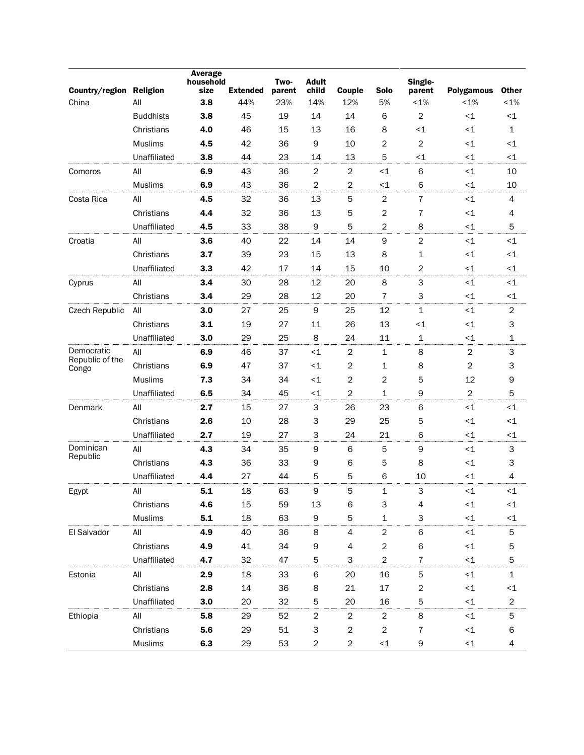| Country/region Religion  |                  | <b>Average</b><br>household<br>size | <b>Extended</b> | Two-<br>parent | <b>Adult</b><br>child | Couple         | <b>Solo</b>      | Single-<br>parent       | <b>Polygamous</b> | <b>Other</b>   |
|--------------------------|------------------|-------------------------------------|-----------------|----------------|-----------------------|----------------|------------------|-------------------------|-------------------|----------------|
| China                    | All              | 3.8                                 | 44%             | 23%            | 14%                   | 12%            | 5%               | $< 1\%$                 | $< 1\%$           | $< 1\%$        |
|                          | <b>Buddhists</b> | 3.8                                 | 45              | 19             | 14                    | 14             | 6                | $\overline{c}$          | ~1                | $\leq$ 1       |
|                          | Christians       | 4.0                                 | 46              | 15             | 13                    | 16             | 8                | $<1$                    | ${<}1$            | $\mathbf{1}$   |
|                          | <b>Muslims</b>   | 4.5                                 | 42              | 36             | 9                     | 10             | $\overline{c}$   | $\overline{2}$          | ${<}1$            | $\leq$ 1       |
|                          | Unaffiliated     | 3.8                                 | 44              | 23             | 14                    | 13             | 5                | $\leq$ 1                | ${<}1$            | $\leq$ 1       |
| Comoros                  | All              | 6.9                                 | 43              | 36             | $\overline{2}$        | 2              | ~1               | 6                       | $<$ 1             | 10             |
|                          | <b>Muslims</b>   | 6.9                                 | 43              | 36             | $\overline{c}$        | $\overline{c}$ | $<1$             | 6                       | ~1                | 10             |
| Costa Rica               | All              | 4.5                                 | 32              | 36             | 13                    | 5              | $\boldsymbol{2}$ | $\overline{7}$          | ${<}1$            | 4              |
|                          | Christians       | 4.4                                 | 32              | 36             | 13                    | 5              | $\overline{c}$   | $\overline{7}$          | $<$ 1             | 4              |
|                          | Unaffiliated     | 4.5                                 | 33              | 38             | 9                     | 5              | $\overline{c}$   | 8                       | ${<}1$            | 5              |
| Croatia                  | All              | 3.6                                 | 40              | 22             | 14                    | 14             | $\mathsf 9$      | $\overline{2}$          | ${<}1$            | $\leq$ 1       |
|                          | Christians       | 3.7                                 | 39              | 23             | 15                    | 13             | 8                | 1                       | ${<}1$            | <1             |
|                          | Unaffiliated     | 3.3                                 | 42              | 17             | 14                    | 15             | 10               | 2                       | ${<}1$            | <1             |
| Cyprus                   | All              | 3.4                                 | 30              | 28             | 12                    | 20             | 8                | 3                       | ${<}1$            | <1             |
|                          | Christians       | 3.4                                 | 29              | 28             | 12                    | 20             | $\overline{7}$   | 3                       | ${<}1$            | $\leq$ 1       |
| Czech Republic           | All              | 3.0                                 | 27              | 25             | 9                     | 25             | 12               | 1                       | ${<}1$            | $\overline{c}$ |
|                          | Christians       | 3.1                                 | 19              | 27             | 11                    | 26             | 13               | $<1$                    | ${<}1$            | 3              |
|                          | Unaffiliated     | 3.0                                 | 29              | 25             | 8                     | 24             | 11               | $\mathbf{1}$            | ${<}1$            | 1              |
| Democratic               | All              | 6.9                                 | 46              | 37             | ${<}1$                | $\sqrt{2}$     | $\mathbf 1$      | 8                       | $\boldsymbol{2}$  | 3              |
| Republic of the<br>Congo | Christians       | 6.9                                 | 47              | 37             | ${<}1$                | $\mathbf 2$    | $\mathbf{1}$     | 8                       | $\overline{c}$    | 3              |
|                          | <b>Muslims</b>   | 7.3                                 | 34              | 34             | $\leq$ 1              | $\mathbf 2$    | $\overline{c}$   | 5                       | 12                | 9              |
|                          | Unaffiliated     | 6.5                                 | 34              | 45             | $\leq$ 1              | $\overline{2}$ | 1                | 9                       | $\overline{2}$    | 5              |
| Denmark                  | All              | 2.7                                 | 15              | 27             | 3                     | 26             | 23               | 6                       | ~1                | $<$ 1          |
|                          | Christians       | 2.6                                 | 10              | 28             | З                     | 29             | 25               | 5                       | ${<}1$            | $\leq$ 1       |
|                          | Unaffiliated     | 2.7                                 | 19              | 27             | 3                     | 24             | 21               | 6                       | ${<}1$            | $\leq$ 1       |
| Dominican<br>Republic    | All              | 4.3                                 | 34              | 35             | 9                     | 6              | 5                | $\mathsf 9$             | ~1                | 3              |
|                          | Christians       | 4.3                                 | 36              | 33             | 9                     | 6              | 5                | 8                       | ${<}1$            | 3              |
|                          | Unaffiliated     | 4.4                                 | 27              | 44             | 5                     | 5              | 6                | 10                      | $\leq$ 1          | 4              |
| Egypt                    | All              | 5.1                                 | 18              | 63             | 9                     | 5              | $\mathbf{1}$     | 3                       | $<$ 1             | $<$ 1          |
|                          | Christians       | 4.6                                 | 15              | 59             | 13                    | 6              | 3                | 4                       | ${ <}1 \,$        | ${<}1$         |
|                          | Muslims          | 5.1                                 | 18              | 63             | 9                     | 5              | $\mathbf 1$      | 3                       | $\leq$ 1          | $\leq$ 1       |
| El Salvador              | All              | 4.9                                 | 40              | 36             | 8                     | 4              | $\overline{c}$   | 6                       | ${<}1$            | 5              |
|                          | Christians       | 4.9                                 | 41              | 34             | 9                     | 4              | $\overline{c}$   | 6                       | ${ <}1 \,$        | 5              |
|                          | Unaffiliated     | 4.7                                 | 32              | 47             | 5                     | 3              | $\overline{c}$   | $\bf 7$                 | ${<}1$            | 5              |
| Estonia                  | All              | 2.9                                 | 18              | 33             | 6                     | 20             | 16               | 5                       | ${ <}1 \,$        | $\mathbf{1}$   |
|                          | Christians       | 2.8                                 | 14              | 36             | 8                     | 21             | $17\,$           | $\overline{\mathbf{c}}$ | ${ <}1 \,$        | $\leq$ 1       |
|                          | Unaffiliated     | 3.0                                 | 20              | 32             | 5                     | 20             | 16               | 5                       | $\leq$ 1          | $\overline{c}$ |
| Ethiopia                 | All              | 5.8                                 | 29              | 52             | $\overline{c}$        | $\overline{c}$ | $\overline{c}$   | $\bf 8$                 | ${<}1$            | 5              |
|                          | Christians       | 5.6                                 | 29              | 51             | 3                     | 2              | $\overline{c}$   | 7                       | ${ <}1 \,$        | 6              |
|                          | Muslims          | 6.3                                 | 29              | 53             | $\overline{c}$        | $\overline{c}$ | ${<}1$           | 9                       | ${<}1$            | 4              |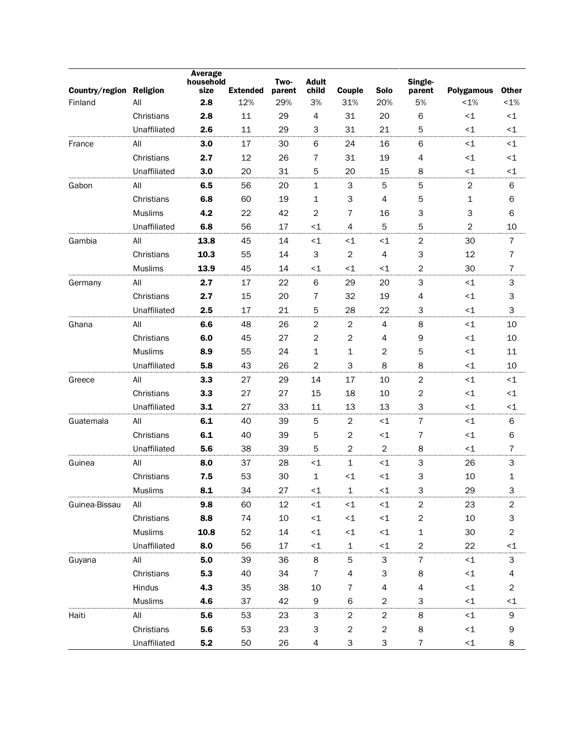| Country/region Religion |                | Average<br>household<br>size | <b>Extended</b> | Two-<br>parent | <b>Adult</b><br>child | Couple                   | <b>Solo</b>                   | Single-<br>parent | <b>Polygamous</b> | <b>Other</b>            |
|-------------------------|----------------|------------------------------|-----------------|----------------|-----------------------|--------------------------|-------------------------------|-------------------|-------------------|-------------------------|
| Finland                 | All            | 2.8                          | 12%             | 29%            | 3%                    | 31%                      | 20%                           | 5%                | $< 1\%$           | $< 1\%$                 |
|                         | Christians     | 2.8                          | 11              | 29             | 4                     | 31                       | 20                            | 6                 | ${<}1$            | $\leq$ 1                |
|                         | Unaffiliated   | 2.6                          | 11              | 29             | 3                     | 31                       | 21                            | 5                 | $\leq$ 1          | $\leq$ 1                |
| France                  | All            | 3.0                          | 17              | 30             | 6                     | 24                       | 16                            | 6                 | ${<}1$            | $\leq$ 1                |
|                         | Christians     | 2.7                          | 12              | 26             | 7                     | 31                       | 19                            | 4                 | ${<}\mathbf{1}$   | $\leq$ 1                |
|                         | Unaffiliated   | 3.0                          | 20              | 31             | 5                     | 20                       | 15                            | 8                 | $\leq$ 1          | $\leq$ 1                |
| Gabon                   | All            | 6.5                          | 56              | 20             | 1                     | 3                        | $\sqrt{5}$                    | 5                 | $\sqrt{2}$        | 6                       |
|                         | Christians     | 6.8                          | 60              | 19             | 1                     | 3                        | $\overline{4}$                | 5                 | $\mathbf 1$       | 6                       |
|                         | <b>Muslims</b> | 4.2                          | 22              | 42             | 2                     | 7                        | 16                            | 3                 | 3                 | 6                       |
|                         | Unaffiliated   | 6.8                          | 56              | 17             | ${<}1$                | 4                        | 5                             | 5                 | $\overline{c}$    | 10                      |
| Gambia                  | All            | 13.8                         | 45              | 14             | ${<}1$                | ${<}1$                   | $\leq$ 1                      | $\overline{c}$    | 30                | $\overline{7}$          |
|                         | Christians     | 10.3                         | 55              | 14             | 3                     | $\mathbf 2$              | $\overline{4}$                | 3                 | 12                | 7                       |
|                         | <b>Muslims</b> | 13.9                         | 45              | 14             | $\leq$ 1              | $\leq$ 1                 | $\leq$ 1                      | 2                 | 30                | 7                       |
| Germany                 | All            | 2.7                          | 17              | 22             | 6                     | 29                       | 20                            | 3                 | ${<}1$            | 3                       |
|                         | Christians     | 2.7                          | 15              | 20             | 7                     | 32                       | 19                            | 4                 | ${<}1$            | 3                       |
|                         | Unaffiliated   | 2.5                          | 17              | 21             | 5                     | 28                       | 22                            | 3                 | $<$ 1             | 3                       |
| Ghana                   | All            | 6.6                          | 48              | 26             | $\boldsymbol{2}$      | $\boldsymbol{2}$         | 4                             | 8                 | ${<}1$            | 10                      |
|                         | Christians     | 6.0                          | 45              | 27             | 2                     | $\mathbf 2$              | 4                             | 9                 | ${<}1$            | 10                      |
|                         | Muslims        | 8.9                          | 55              | 24             | 1                     | 1                        | $\overline{2}$                | 5                 | $\leq$ 1          | 11                      |
|                         | Unaffiliated   | 5.8                          | 43              | 26             | 2                     | З                        | 8                             | 8                 | ${<}1$            | 10                      |
| Greece                  | All            | 3.3                          | 27              | 29             | 14                    | 17                       | 10                            | $\overline{2}$    | ${<}1$            | $\leq$ 1                |
|                         | Christians     | 3.3                          | 27              | 27             | 15                    | 18                       | 10                            | $\overline{c}$    | ${<}1$            | $\leq$ 1                |
|                         | Unaffiliated   | 3.1                          | 27              | 33             | 11                    | 13                       | 13                            | 3                 | $\leq$ 1          | $\leq$ 1                |
| Guatemala               | All            | 6.1                          | 40              | 39             | 5                     | $\boldsymbol{2}$         | ${<}1$                        | $\overline{7}$    | ${<}1$            | 6                       |
|                         | Christians     | 6.1                          | 40              | 39             | 5                     | $\boldsymbol{2}$         | $\leq$ 1                      | $\overline{7}$    | ${<}1$            | 6                       |
|                         | Unaffiliated   | 5.6                          | 38              | 39             | 5                     | $\overline{c}$           | $\overline{2}$                | 8                 | $<$ 1             | $\overline{7}$          |
| Guinea                  | All            | 8.0                          | 37              | 28             | $\leq$ 1              | 1                        | $\leq$ 1                      | 3                 | 26                | 3                       |
|                         | Christians     | 7.5                          | 53              | 30             | 1                     | $\leq$ 1                 | $\leq$ 1                      | 3                 | 10                | 1                       |
|                         | <b>Muslims</b> | 8.1                          | 34              | 27             | $<$ 1                 | 1                        | $\leq$ 1                      | 3                 | 29                | 3                       |
| Guinea-Bissau           | All            | 9.8                          | 60              | 12             | ${ <}1 \,$            | ${<}1$                   | ${ <}1 \,$                    | $\overline{c}$    | 23                | 2                       |
|                         | Christians     | 8.8                          | 74              | 10             | ${<}1$                | ${<}1$                   | ${<}1$                        | $\boldsymbol{2}$  | $10$              | 3                       |
|                         | <b>Muslims</b> | 10.8                         | 52              | 14             | ${<}1$                | ${<}1$                   | ${ < \mathrel{{\mathsf{1}}}}$ | $\mathbf 1$       | 30                | $\overline{\mathbf{c}}$ |
|                         | Unaffiliated   | 8.0                          | 56              | 17             | $\leq$ 1              | $\mathbf{1}$             | $\leq$ 1                      | $\overline{2}$    | 22                | ${<}1$                  |
| Guyana                  | All            | 5.0                          | 39              | 36             | 8                     | 5                        | 3                             | $\bf 7$           | ${<}1$            | 3                       |
|                         | Christians     | 5.3                          | 40              | 34             | $\overline{7}$        | 4                        | 3                             | 8                 | ${<}1$            | 4                       |
|                         | Hindus         | 4.3                          | 35              | 38             | 10                    | $\overline{\mathcal{I}}$ | 4                             | 4                 | ${<}1$            | $\boldsymbol{2}$        |
|                         | <b>Muslims</b> | 4.6                          | 37              | 42             | 9                     | 6                        | 2                             | 3                 | ${<}1$            | $\leq$ 1                |
| Haiti                   | All            | 5.6                          | 53              | 23             | 3                     | $\boldsymbol{2}$         | $\overline{c}$                | 8                 | ${<}1$            | 9                       |
|                         | Christians     | 5.6                          | 53              | 23             | 3                     | $\overline{\mathbf{c}}$  | $\overline{c}$                | 8                 | ${<}1$            | 9                       |
|                         | Unaffiliated   | $5.2$                        | 50              | 26             | 4                     | 3                        | 3                             | $\overline{7}$    | ${<}1$            | 8                       |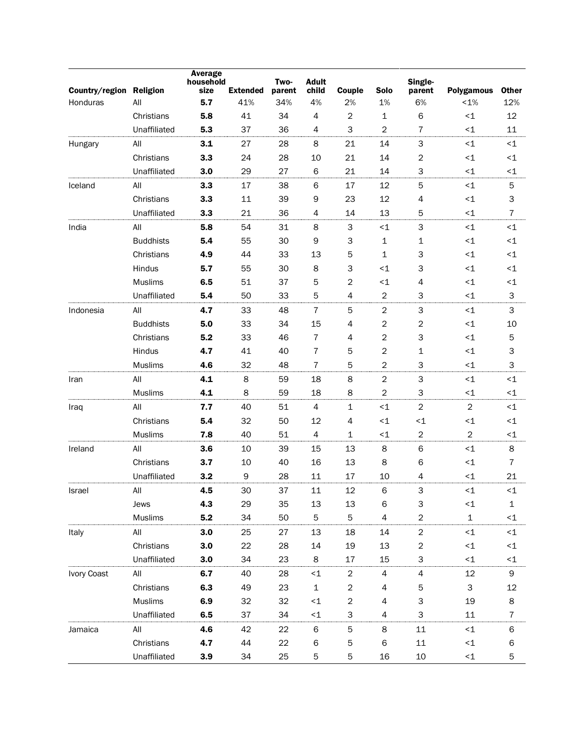| Country/region Religion |                  | Average<br>household<br>size | <b>Extended</b> | Two-<br>parent | <b>Adult</b><br>child | Couple                  | <b>Solo</b>    | Single-<br>parent         | Polygamous                | <b>Other</b>   |
|-------------------------|------------------|------------------------------|-----------------|----------------|-----------------------|-------------------------|----------------|---------------------------|---------------------------|----------------|
| Honduras                | All              | 5.7                          | 41%             | 34%            | 4%                    | 2%                      | 1%             | 6%                        | $< 1\%$                   | 12%            |
|                         | Christians       | 5.8                          | 41              | 34             | 4                     | $\mathbf 2$             | 1              | 6                         | ${<}1$                    | 12             |
|                         | Unaffiliated     | 5.3                          | 37              | 36             | 4                     | 3                       | $\overline{c}$ | $\overline{7}$            | ${<}1$                    | 11             |
| Hungary                 | All              | 3.1                          | 27              | 28             | 8                     | 21                      | 14             | 3                         | ${<}1$                    | $\leq 1$       |
|                         | Christians       | 3.3                          | 24              | 28             | 10                    | 21                      | 14             | 2                         | ${<}1$                    | $\leq$ 1       |
|                         | Unaffiliated     | 3.0                          | 29              | 27             | 6                     | 21                      | 14             | 3                         | ${<}1$                    | $\leq$ 1       |
| Iceland                 | All              | 3.3                          | 17              | 38             | 6                     | 17                      | 12             | 5                         | ${<}1$                    | 5              |
|                         | Christians       | 3.3                          | 11              | 39             | 9                     | 23                      | 12             | 4                         | ${<}1$                    | 3              |
|                         | Unaffiliated     | 3.3                          | 21              | 36             | 4                     | 14                      | 13             | 5                         | $\leq$ 1                  | 7              |
| India                   | All              | 5.8                          | 54              | 31             | 8                     | 3                       | ~1             | 3                         | ${<}1$                    | $<1$           |
|                         | <b>Buddhists</b> | 5.4                          | 55              | 30             | 9                     | З                       | $\mathbf 1$    | 1                         | ${<}1$                    | $\leq$ 1       |
|                         | Christians       | 4.9                          | 44              | 33             | 13                    | 5                       | 1              | 3                         | ${<}1$                    | $\leq$ 1       |
|                         | Hindus           | 5.7                          | 55              | 30             | 8                     | З                       | $<1$           | 3                         | ${<}1$                    | $\leq$ 1       |
|                         | <b>Muslims</b>   | 6.5                          | 51              | 37             | 5                     | 2                       | $<1$           | 4                         | ${<}1$                    | $\leq$ 1       |
|                         | Unaffiliated     | 5.4                          | 50              | 33             | 5                     | 4                       | $\mathbf 2$    | 3                         | $<$ 1                     | 3              |
| Indonesia               | All              | 4.7                          | 33              | 48             | 7                     | 5                       | $\mathbf 2$    | 3                         | ${<}1$                    | 3              |
|                         | <b>Buddhists</b> | 5.0                          | 33              | 34             | 15                    | $\overline{4}$          | $\overline{c}$ | $\sqrt{2}$                | ${<}1$                    | 10             |
|                         | Christians       | 5.2                          | 33              | 46             | $\overline{7}$        | 4                       | $\overline{c}$ | 3                         | ${<}1$                    | 5              |
|                         | Hindus           | 4.7                          | 41              | 40             | $\overline{7}$        | 5                       | $\overline{2}$ | 1                         | ${<}1$                    | 3              |
|                         | <b>Muslims</b>   | 4.6                          | 32              | 48             | $\overline{7}$        | 5                       | 2              | 3                         | $<$ 1                     | 3              |
| Iran                    | All              | 4.1                          | 8               | 59             | 18                    | 8                       | $\overline{c}$ | $\mathsf 3$               | ${<}1$                    | $\leq 1$       |
|                         | <b>Muslims</b>   | 4.1                          | 8               | 59             | 18                    | 8                       | $\overline{2}$ | 3                         | ${<}1$                    | $\leq$ 1       |
| Iraq                    | All              | 7.7                          | 40              | 51             | 4                     | $\mathbf 1$             | $<1$           | $\overline{c}$            | $\overline{2}$            | $\leq 1$       |
|                         | Christians       | 5.4                          | 32              | 50             | 12                    | $\overline{4}$          | $<1$           | ~1                        | ${<}\mathbf{1}$           | $\leq$ 1       |
|                         | <b>Muslims</b>   | 7.8                          | 40              | 51             | 4                     | 1                       | ${<}1$         | $\sqrt{2}$                | $\sqrt{2}$                | $\leq$ 1       |
| Ireland                 | All              | 3.6                          | 10              | 39             | 15                    | 13                      | 8              | 6                         | ${<}\mathbf{1}$           | 8              |
|                         | Christians       | 3.7                          | 10              | 40             | 16                    | 13                      | 8              | 6                         | ${<}1$                    | $\overline{7}$ |
|                         | Unaffiliated     | 3.2                          | 9               | 28             | 11                    | 17                      | 10             | $\overline{4}$            | ${<}1$                    | 21             |
| Israel                  | All              | 4.5                          | 30              | 37             | 11                    | 12                      | 6              | 3                         | ${<}1$                    | $\leq$ 1       |
|                         | Jews             | 4.3                          | 29              | 35             | 13                    | 13                      | 6              | $\ensuremath{\mathsf{3}}$ | ${<}1$                    | 1              |
|                         | <b>Muslims</b>   | 5.2                          | 34              | 50             | 5                     | 5                       | $\overline{4}$ | $\overline{c}$            | $\mathbf 1$               | ${<}1$         |
| Italy                   | All              | 3.0                          | 25              | 27             | 13                    | 18                      | 14             | $\boldsymbol{2}$          | ${<}1$                    | $\leq$ 1       |
|                         | Christians       | 3.0                          | 22              | 28             | 14                    | 19                      | 13             | $\boldsymbol{2}$          | ${<}1$                    | ${<}1$         |
|                         | Unaffiliated     | 3.0                          | 34              | 23             | 8                     | 17                      | 15             | 3                         | ${<}1$                    | ${<}1$         |
| Ivory Coast             | All              | 6.7                          | 40              | 28             | ${<}1$                | 2                       | 4              | $\overline{\mathcal{A}}$  | 12                        | 9              |
|                         | Christians       | 6.3                          | 49              | 23             | $\mathbf 1$           | $\boldsymbol{2}$        | 4              | 5                         | $\ensuremath{\mathsf{3}}$ | 12             |
|                         | <b>Muslims</b>   | 6.9                          | 32              | 32             | ${<}1$                | $\overline{\mathbf{c}}$ | 4              | 3                         | 19                        | 8              |
|                         | Unaffiliated     | 6.5                          | 37              | 34             | ${<}1$                | 3                       | 4              | 3                         | 11                        | $\overline{7}$ |
| Jamaica                 | All              | 4.6                          | 42              | 22             | 6                     | 5                       | 8              | 11                        | ${<}1$                    | 6              |
|                         | Christians       | 4.7                          | 44              | 22             | 6                     | 5                       | 6              | 11                        | ${<}1$                    | 6              |
|                         | Unaffiliated     | 3.9                          | 34              | 25             | 5                     | 5                       | 16             | $10\,$                    | $\leq$ 1                  | 5              |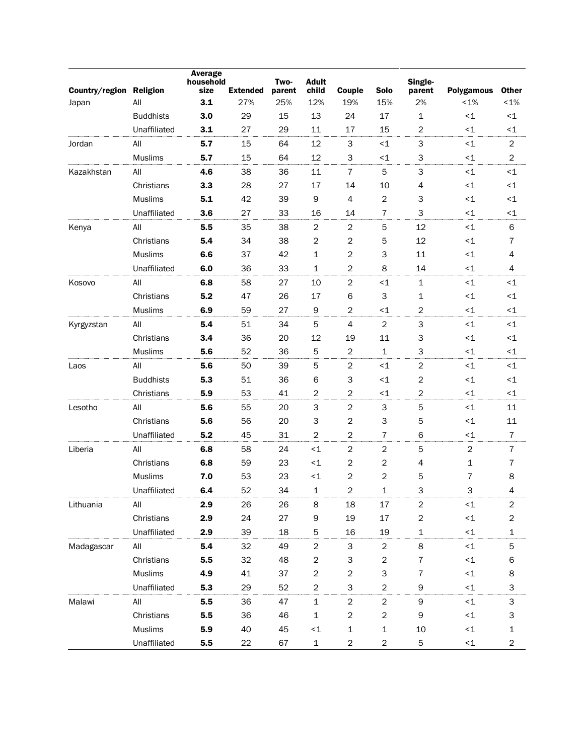| Country/region | <b>Religion</b>  | <b>Average</b><br>household<br>size | <b>Extended</b> | Two-<br>parent | <b>Adult</b><br>child | Couple           | <b>Solo</b>             | Single-<br>parent | <b>Polygamous</b> | <b>Other</b>            |
|----------------|------------------|-------------------------------------|-----------------|----------------|-----------------------|------------------|-------------------------|-------------------|-------------------|-------------------------|
| Japan          | All              | 3.1                                 | 27%             | 25%            | 12%                   | 19%              | 15%                     | 2%                | $< 1\%$           | $< 1\%$                 |
|                | <b>Buddhists</b> | 3.0                                 | 29              | 15             | 13                    | 24               | 17                      | 1                 | ${<}1$            | $\leq$ 1                |
|                | Unaffiliated     | 3.1                                 | 27              | 29             | 11                    | 17               | 15                      | 2                 | ${<}1$            | $\leq$ 1                |
| Jordan         | All              | 5.7                                 | 15              | 64             | 12                    | 3                | $<1$                    | $\mathsf 3$       | ${<}1$            | $\overline{2}$          |
|                | Muslims          | 5.7                                 | 15              | 64             | 12                    | З                | $<1$                    | 3                 | ${<}1$            | $\overline{c}$          |
| Kazakhstan     | All              | 4.6                                 | 38              | 36             | 11                    | $\overline{7}$   | 5                       | 3                 | ${<}1$            | ~1                      |
|                | Christians       | 3.3                                 | 28              | 27             | 17                    | 14               | 10                      | 4                 | ${<}1$            | $\leq$ 1                |
|                | Muslims          | 5.1                                 | 42              | 39             | 9                     | $\overline{4}$   | $\overline{c}$          | 3                 | ${<}1$            | $\leq$ 1                |
|                | Unaffiliated     | 3.6                                 | 27              | 33             | 16                    | 14               | $\overline{7}$          | 3                 | ${<}1$            | $\leq$ 1                |
| Kenya          | All              | 5.5                                 | 35              | 38             | $\boldsymbol{2}$      | $\overline{c}$   | 5                       | 12                | ${<}1$            | 6                       |
|                | Christians       | 5.4                                 | 34              | 38             | $\boldsymbol{2}$      | $\boldsymbol{2}$ | 5                       | 12                | ${<}1$            | 7                       |
|                | <b>Muslims</b>   | 6.6                                 | 37              | 42             | $\mathbf{1}$          | $\mathbf 2$      | 3                       | 11                | ${<}1$            | 4                       |
|                | Unaffiliated     | 6.0                                 | 36              | 33             | $\mathbf{1}$          | $\boldsymbol{2}$ | 8                       | 14                | ${<}1$            | 4                       |
| Kosovo         | All              | 6.8                                 | 58              | 27             | 10                    | $\boldsymbol{2}$ | $\leq$ 1                | $\mathbf 1$       | ${<}1$            | $\leq$ 1                |
|                | Christians       | 5.2                                 | 47              | 26             | 17                    | 6                | 3                       | 1                 | ${<}1$            | $\leq$ 1                |
|                | Muslims          | 6.9                                 | 59              | 27             | 9                     | $\overline{c}$   | $<1$                    | $\overline{c}$    | ${<}1$            | $\leq$ 1                |
| Kyrgyzstan     | All              | 5.4                                 | 51              | 34             | 5                     | $\overline{4}$   | $\overline{c}$          | $\mathsf 3$       | ${<}1$            | $\leq$ 1                |
|                | Christians       | 3.4                                 | 36              | 20             | 12                    | 19               | 11                      | 3                 | ${<}1$            | $\leq$ 1                |
|                | Muslims          | 5.6                                 | 52              | 36             | 5                     | $\overline{c}$   | $\mathbf{1}$            | 3                 | ${<}1$            | $\leq$ 1                |
| Laos           | All              | 5.6                                 | 50              | 39             | 5                     | $\overline{2}$   | $<1$                    | $\overline{2}$    | ${<}1$            | $<$ 1                   |
|                | <b>Buddhists</b> | 5.3                                 | 51              | 36             | 6                     | З                | $\leq$ 1                | $\overline{c}$    | ~1                | $\leq$ 1                |
|                | Christians       | 5.9                                 | 53              | 41             | $\mathbf{2}$          | $\overline{c}$   | $\leq$ 1                | 2                 | $\leq$ 1          | $<$ 1                   |
| Lesotho        | All              | 5.6                                 | 55              | 20             | 3                     | $\overline{c}$   | 3                       | 5                 | ${<}1$            | 11                      |
|                | Christians       | 5.6                                 | 56              | 20             | 3                     | $\overline{c}$   | 3                       | 5                 | ${<}1$            | 11                      |
|                | Unaffiliated     | 5.2                                 | 45              | 31             | $\mathbf 2$           | $\boldsymbol{2}$ | $\overline{7}$          | 6                 | ${<}1$            | $\overline{7}$          |
| Liberia        | All              | 6.8                                 | 58              | 24             | ${<}1$                | $\overline{2}$   | $\overline{2}$          | 5                 | $\overline{c}$    | $\overline{7}$          |
|                | Christians       | 6.8                                 | 59              | 23             | $\leq$ 1              | 2                | $\overline{c}$          | 4                 | $\mathbf 1$       | 7                       |
|                | <b>Muslims</b>   | 7.0                                 | 53              | 23             | $\leq$ 1              | 2                | $\overline{\mathbf{c}}$ | 5                 | 7                 | 8                       |
|                | Unaffiliated     | 6.4                                 | 52              | 34             | $\mathbf{1}$          | $\overline{2}$   | $\mathbf{1}$            | 3                 | 3                 | 4                       |
| Lithuania      | All              | 2.9                                 | 26              | 26             | 8                     | 18               | 17                      | $\overline{c}$    | ${ <}1 \,$        | $\overline{c}$          |
|                | Christians       | 2.9                                 | 24              | 27             | 9                     | 19               | $17\,$                  | $\overline{c}$    | ${ <}1 \,$        | $\overline{c}$          |
|                | Unaffiliated     | 2.9                                 | 39              | 18             | 5                     | 16               | 19                      | $\mathbf{1}$      | ${<}1$            | 1                       |
| Madagascar     | All              | 5.4                                 | 32              | 49             | $\overline{c}$        | 3                | $\overline{2}$          | 8                 | $<1\,$            | 5                       |
|                | Christians       | 5.5                                 | 32              | 48             | $\mathbf{2}$          | 3                | $\overline{c}$          | $\overline{7}$    | ${ <}1 \,$        | 6                       |
|                | Muslims          | 4.9                                 | 41              | 37             | $\overline{c}$        | $\overline{c}$   | 3                       | $\overline{7}$    | ${<}1$            | 8                       |
|                | Unaffiliated     | 5.3                                 | 29              | 52             | $\overline{a}$        | 3                | $\overline{\mathbf{c}}$ | 9                 | ${<}1$            | 3                       |
| Malawi         | All              | 5.5                                 | 36              | 47             | $\mathbf{1}$          | $\overline{c}$   | $\overline{c}$          | 9                 | ${<}1$            | 3                       |
|                | Christians       | 5.5                                 | 36              | 46             | $\mathbf{1}$          | $\boldsymbol{2}$ | $\overline{\mathbf{c}}$ | 9                 | ${ <}1 \,$        | 3                       |
|                | <b>Muslims</b>   | 5.9                                 | 40              | 45             | $\leq$ 1              | 1                | $\mathbf 1$             | 10                | ${<}1$            | $\mathbf{1}$            |
|                | Unaffiliated     | 5.5                                 | 22              | 67             | $\mathbf{1}$          | $\overline{c}$   | $\overline{c}$          | $\mathbf 5$       | ${<}1$            | $\overline{\mathbf{c}}$ |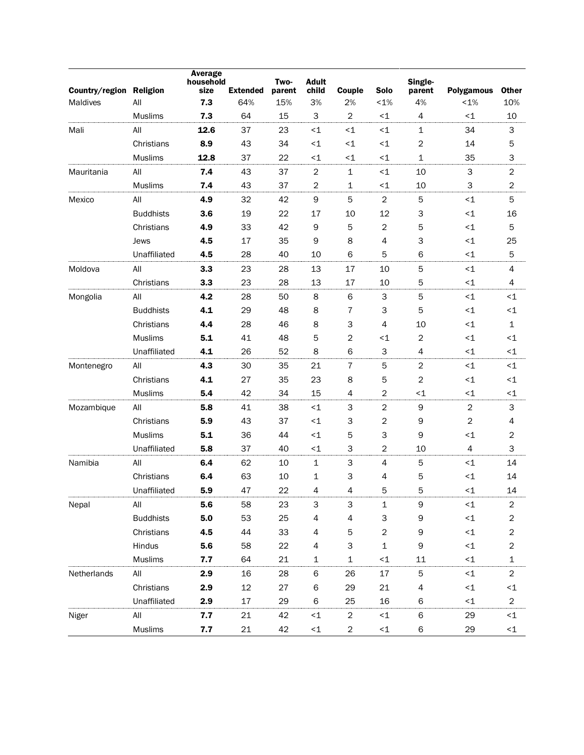| Country/region | <b>Religion</b>  | <b>Average</b><br>household<br>size | <b>Extended</b> | Two-<br>parent | <b>Adult</b><br>child | Couple                    | <b>Solo</b>                   | Single-<br>parent | <b>Polygamous</b> | <b>Other</b>   |
|----------------|------------------|-------------------------------------|-----------------|----------------|-----------------------|---------------------------|-------------------------------|-------------------|-------------------|----------------|
| Maldives       | All              | 7.3                                 | 64%             | 15%            | 3%                    | 2%                        | $< 1\%$                       | 4%                | $< 1\%$           | 10%            |
|                | Muslims          | 7.3                                 | 64              | 15             | 3                     | $\overline{c}$            | $<1$                          | $\overline{4}$    | ~1                | 10             |
| Mali           | All              | 12.6                                | 37              | 23             | $\leq$ 1              | ${<}1$                    | $<1$                          | 1                 | 34                | 3              |
|                | Christians       | 8.9                                 | 43              | 34             | $\leq$ 1              | ${<}1$                    | ~1                            | $\overline{c}$    | 14                | 5              |
|                | Muslims          | 12.8                                | 37              | 22             | $\leq$ 1              | ${<}1$                    | $<1$                          | $\mathbf 1$       | 35                | 3              |
| Mauritania     | All              | 7.4                                 | 43              | 37             | $\boldsymbol{2}$      | $\mathbf{1}$              | $<1$                          | 10                | 3                 | $\overline{c}$ |
|                | Muslims          | 7.4                                 | 43              | 37             | $\overline{c}$        | 1                         | $<1$                          | 10                | 3                 | $\overline{c}$ |
| Mexico         | All              | 4.9                                 | 32              | 42             | 9                     | 5                         | $\overline{c}$                | 5                 | ${<}1$            | 5              |
|                | <b>Buddhists</b> | 3.6                                 | 19              | 22             | 17                    | 10                        | 12                            | 3                 | ${<}1$            | 16             |
|                | Christians       | 4.9                                 | 33              | 42             | 9                     | 5                         | $\overline{c}$                | 5                 | ${<}1$            | 5              |
|                | Jews             | 4.5                                 | 17              | 35             | 9                     | 8                         | 4                             | 3                 | ${<}1$            | 25             |
|                | Unaffiliated     | 4.5                                 | 28              | 40             | 10                    | 6                         | 5                             | 6                 | ${<}1$            | 5              |
| Moldova        | All              | 3.3                                 | 23              | 28             | 13                    | 17                        | 10                            | 5                 | ${<}1$            | 4              |
|                | Christians       | 3.3                                 | 23              | 28             | 13                    | 17                        | 10                            | 5                 | ${<}1$            | 4              |
| Mongolia       | All              | 4.2                                 | 28              | 50             | 8                     | 6                         | 3                             | 5                 | ${<}1$            | $<$ 1          |
|                | <b>Buddhists</b> | 4.1                                 | 29              | 48             | 8                     | 7                         | 3                             | 5                 | ~1                | $\leq$ 1       |
|                | Christians       | 4.4                                 | 28              | 46             | 8                     | З                         | $\overline{4}$                | 10                | ${<}1$            | $\mathbf{1}$   |
|                | Muslims          | 5.1                                 | 41              | 48             | 5                     | 2                         | $<1$                          | 2                 | ${<}1$            | $\leq$ 1       |
|                | Unaffiliated     | 4.1                                 | 26              | 52             | 8                     | 6                         | 3                             | 4                 | ${<}1$            | <1             |
| Montenegro     | All              | 4.3                                 | 30              | 35             | 21                    | $\overline{7}$            | 5                             | $\overline{2}$    | ${<}1$            | $\leq 1$       |
|                | Christians       | 4.1                                 | 27              | 35             | 23                    | 8                         | 5                             | $\overline{2}$    | ${<}1$            | $\leq$ 1       |
|                | Muslims          | 5.4                                 | 42              | 34             | 15                    | 4                         | 2                             | $<1$              | ${<}\mathbf{1}$   | $\leq$ 1       |
| Mozambique     | All              | 5.8                                 | 41              | 38             | $<$ 1                 | $\ensuremath{\mathsf{3}}$ | $\overline{c}$                | $\mathsf 9$       | $\overline{2}$    | 3              |
|                | Christians       | 5.9                                 | 43              | 37             | $\leq$ 1              | 3                         | $\overline{c}$                | 9                 | $\overline{2}$    | 4              |
|                | <b>Muslims</b>   | 5.1                                 | 36              | 44             | $\leq$ 1              | 5                         | 3                             | 9                 | ${<}\mathbf{1}$   | $\overline{c}$ |
|                | Unaffiliated     | 5.8                                 | 37              | 40             | $\leq$ 1              | 3                         | $\overline{2}$                | 10                | 4                 | 3              |
| Namibia        | All              | 6.4                                 | 62              | 10             | 1                     | $\ensuremath{\mathsf{3}}$ | 4                             | 5                 | ~1                | 14             |
|                | Christians       | 6.4                                 | 63              | 10             | 1                     | З                         | 4                             | 5                 | ${<}\mathbf{1}$   | 14             |
|                | Unaffiliated     | 5.9                                 | 47              | 22             | 4                     | 4                         | 5                             | 5                 | $<$ 1             | 14             |
| Nepal          | All              | 5.6                                 | 58              | 23             | 3                     | 3                         | 1                             | 9                 | ${ <}1 \,$        | $\overline{c}$ |
|                | <b>Buddhists</b> | $5.0\,$                             | 53              | 25             | 4                     | 4                         | 3                             | 9                 | ${ <}1 \,$        | $\overline{c}$ |
|                | Christians       | 4.5                                 | 44              | 33             | 4                     | 5                         | $\overline{c}$                | 9                 | ${ <}1 \,$        | $\overline{c}$ |
|                | Hindus           | 5.6                                 | 58              | 22             | 4                     | 3                         | $\mathbf 1$                   | $\mathsf 9$       | ${ <}1 \,$        | $\overline{c}$ |
|                | <b>Muslims</b>   | 7.7                                 | 64              | 21             | 1                     | $\mathbf 1$               | ${<}1$                        | $11\,$            | ${<}1$            | $\mathbf 1$    |
| Netherlands    | All              | 2.9                                 | 16              | 28             | 6                     | 26                        | 17                            | $\mathbf 5$       | ${ <}1 \,$        | $\overline{c}$ |
|                | Christians       | 2.9                                 | 12              | 27             | 6                     | 29                        | 21                            | 4                 | ${ <}1 \,$        | $\leq$ 1       |
|                | Unaffiliated     | 2.9                                 | 17              | 29             | 6                     | 25                        | 16                            | 6                 | ${<}1$            | $\overline{2}$ |
| Niger          | All              | 7.7                                 | 21              | 42             | ${<}1$                | $\overline{c}$            | ${ < \mathrel{{\mathsf{1}}}}$ | 6                 | 29                | ${<}1$         |
|                | Muslims          | 7.7                                 | 21              | 42             | ${<}1$                | $\overline{\mathbf{c}}$   | ${ < \mathrel{{\mathsf{1}}}}$ | 6                 | 29                | ${<}1$         |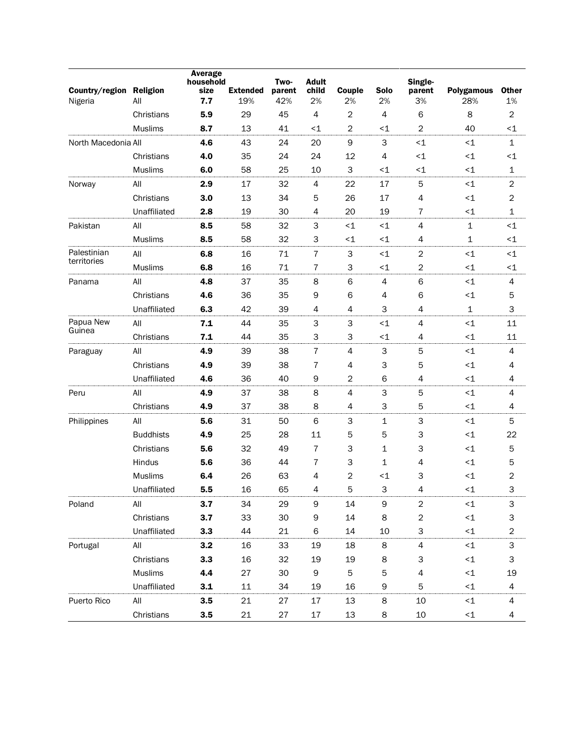| Country/region Religion<br>Nigeria | All              | <b>Average</b><br>household<br>size<br>7.7 | <b>Extended</b><br>19% | Two-<br>parent<br>42% | <b>Adult</b><br>child<br>2% | Couple<br>2%             | Solo<br>2%     | Single-<br>parent<br>3%  | <b>Polygamous</b><br>28% | <b>Other</b><br>1%        |
|------------------------------------|------------------|--------------------------------------------|------------------------|-----------------------|-----------------------------|--------------------------|----------------|--------------------------|--------------------------|---------------------------|
|                                    | Christians       | 5.9                                        | 29                     | 45                    | 4                           | $\mathbf 2$              | 4              | 6                        | 8                        | $\mathbf 2$               |
|                                    | <b>Muslims</b>   | 8.7                                        | 13                     | 41                    | $<$ 1                       | $\overline{c}$           | $\leq$ 1       | $\overline{2}$           | 40                       | $\leq$ 1                  |
| North Macedonia All                |                  | 4.6                                        | 43                     | 24                    | 20                          | 9                        | 3              | $\leq$ 1                 | ${<}1$                   | $\mathbf 1$               |
|                                    | Christians       | 4.0                                        | 35                     | 24                    | 24                          | 12                       | $\overline{4}$ | $\leq$ 1                 | $<$ 1                    | $\leq$ 1                  |
|                                    | <b>Muslims</b>   | 6.0                                        | 58                     | 25                    | 10                          | 3                        | $\leq$ 1       | $\leq$ 1                 | $\leq$ 1                 | 1                         |
| Norway                             | All              | 2.9                                        | 17                     | 32                    | 4                           | 22                       | 17             | 5                        | ${<}1$                   | $\overline{2}$            |
|                                    | Christians       | 3.0                                        | 13                     | 34                    | 5                           | 26                       | 17             | $\overline{4}$           | ${<}1$                   | $\overline{c}$            |
|                                    | Unaffiliated     | 2.8                                        | 19                     | 30                    | 4                           | 20                       | 19             | $\overline{7}$           | ${<}1$                   | $\mathbf 1$               |
| Pakistan                           | All              | 8.5                                        | 58                     | 32                    | 3                           | ${<}1$                   | $<1$           | $\overline{4}$           | $\mathbf{1}$             | $\leq$ 1                  |
|                                    | <b>Muslims</b>   | 8.5                                        | 58                     | 32                    | 3                           | ${<}\mathbf{1}$          | $\leq$ 1       | 4                        | $\mathbf 1$              | $\leq$ 1                  |
| Palestinian                        | All              | 6.8                                        | 16                     | 71                    | 7                           | 3                        | $\leq$ 1       | $\sqrt{2}$               | $<$ 1                    | $\leq$ 1                  |
| territories                        | Muslims          | 6.8                                        | 16                     | 71                    | 7                           | 3                        | $\leq$ 1       | $\overline{2}$           | ${<}1$                   | $\leq$ 1                  |
| Panama                             | All              | 4.8                                        | 37                     | 35                    | 8                           | 6                        | $\overline{4}$ | 6                        | ${<}1$                   | $\overline{4}$            |
|                                    | Christians       | 4.6                                        | 36                     | 35                    | 9                           | 6                        | 4              | 6                        | ${<}1$                   | 5                         |
|                                    | Unaffiliated     | 6.3                                        | 42                     | 39                    | 4                           | 4                        | 3              | $\overline{4}$           | $\mathbf{1}$             | 3                         |
| Papua New                          | All              | 7.1                                        | 44                     | 35                    | 3                           | 3                        | $\leq$ 1       | 4                        | ${<}1$                   | 11                        |
| Guinea                             | Christians       | 7.1                                        | 44                     | 35                    | 3                           | 3                        | $\leq$ 1       | 4                        | ${<}1$                   | 11                        |
| Paraguay                           | All              | 4.9                                        | 39                     | 38                    | 7                           | 4                        | $\mathsf 3$    | 5                        | $<$ 1                    | $\overline{4}$            |
|                                    | Christians       | 4.9                                        | 39                     | 38                    | 7                           | 4                        | 3              | 5                        | ${<}1$                   | 4                         |
|                                    | Unaffiliated     | 4.6                                        | 36                     | 40                    | 9                           | $\overline{c}$           | 6              | $\overline{4}$           | $\leq 1$                 | 4                         |
| Peru                               | All              | 4.9                                        | 37                     | 38                    | 8                           | $\overline{\mathcal{L}}$ | 3              | 5                        | ${<}1$                   | $\overline{4}$            |
|                                    | Christians       | 4.9                                        | 37                     | 38                    | 8                           | 4                        | 3              | 5                        | $\leq$ 1                 | 4                         |
| Philippines                        | All              | 5.6                                        | 31                     | 50                    | 6                           | 3                        | $1\,$          | 3                        | $<$ 1                    | 5                         |
|                                    | <b>Buddhists</b> | 4.9                                        | 25                     | 28                    | 11                          | 5                        | 5              | 3                        | ${<}1$                   | 22                        |
|                                    | Christians       | 5.6                                        | 32                     | 49                    | 7                           | 3                        | 1              | 3                        | ${<}1$                   | 5                         |
|                                    | Hindus           | 5.6                                        | 36                     | 44                    | 7                           | 3                        | 1              | 4                        | $\leq$ 1                 | 5                         |
|                                    | <b>Muslims</b>   | 6.4                                        | 26                     | 63                    | 4                           | $\mathbf{2}$             | $\leq$ 1       | 3                        | $<$ 1                    | 2                         |
|                                    | Unaffiliated     | 5.5                                        | 16                     | 65                    | 4                           | 5                        | 3              | 4                        | ${<}1$                   | 3                         |
| Poland                             | All              | 3.7                                        | 34                     | 29                    | 9                           | 14                       | 9              | 2                        | ${<}1$                   | 3                         |
|                                    | Christians       | 3.7                                        | 33                     | 30                    | 9                           | 14                       | 8              | $\boldsymbol{2}$         | ${<}1$                   | З                         |
|                                    | Unaffiliated     | 3.3                                        | 44                     | 21                    | 6                           | 14                       | 10             | 3                        | ${<}1$                   | 2                         |
| Portugal                           | All              | 3.2                                        | 16                     | 33                    | 19                          | 18                       | 8              | $\overline{\mathcal{A}}$ | $\leq$ 1                 | $\ensuremath{\mathsf{3}}$ |
|                                    | Christians       | 3.3                                        | 16                     | 32                    | 19                          | 19                       | 8              | 3                        | ${<}1$                   | 3                         |
|                                    | <b>Muslims</b>   | 4.4                                        | 27                     | 30                    | 9                           | 5                        | 5              | 4                        | ${<}1$                   | 19                        |
|                                    | Unaffiliated     | 3.1                                        | 11                     | 34                    | 19                          | 16                       | 9              | 5                        | $\leq$ 1                 | 4                         |
| Puerto Rico                        | All              | 3.5                                        | 21                     | 27                    | 17                          | 13                       | 8              | 10                       | ${<}1$                   | 4                         |
|                                    | Christians       | 3.5                                        | 21                     | 27                    | $17\,$                      | 13                       | 8              | $10\,$                   | ${<}1$                   | 4                         |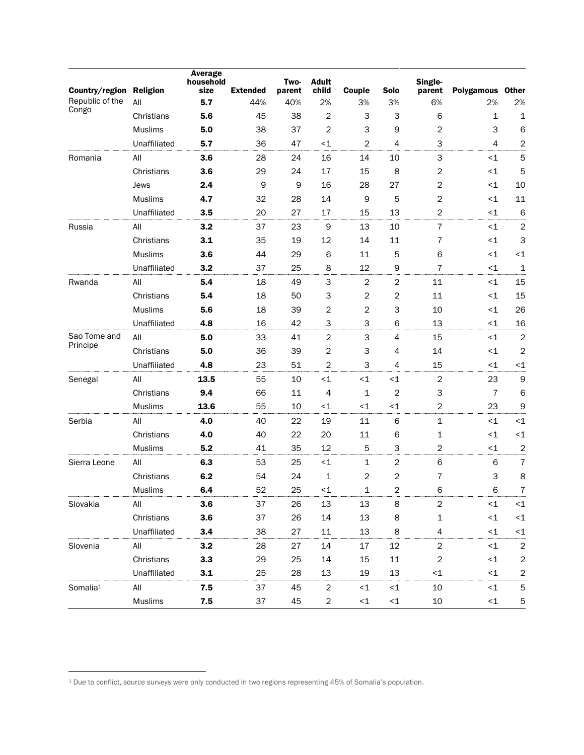| Country/region Religion |                | <b>Average</b><br>household<br>size | <b>Extended</b> | Two-<br>parent | <b>Adult</b><br>child   | Couple         | <b>Solo</b>    | Single-<br>parent | Polygamous Other |                         |
|-------------------------|----------------|-------------------------------------|-----------------|----------------|-------------------------|----------------|----------------|-------------------|------------------|-------------------------|
| Republic of the         | All            | 5.7                                 | 44%             | 40%            | 2%                      | 3%             | 3%             | 6%                | 2%               | 2%                      |
| Congo                   | Christians     | 5.6                                 | 45              | 38             | 2                       | 3              | 3              | 6                 | 1                | 1                       |
|                         | <b>Muslims</b> | 5.0                                 | 38              | 37             | 2                       | 3              | 9              | $\overline{2}$    | 3                | 6                       |
|                         | Unaffiliated   | 5.7                                 | 36              | 47             | $<$ 1                   | 2              | 4              | 3                 | 4                | 2                       |
| Romania                 | All            | 3.6                                 | 28              | 24             | 16                      | 14             | 10             | 3                 | $\leq 1$         | 5                       |
|                         | Christians     | 3.6                                 | 29              | 24             | 17                      | 15             | 8              | 2                 | $\leq 1$         | 5                       |
|                         | Jews           | 2.4                                 | 9               | 9              | 16                      | 28             | 27             | 2                 | ${<}1$           | 10                      |
|                         | <b>Muslims</b> | 4.7                                 | 32              | 28             | 14                      | 9              | 5              | $\overline{2}$    | ${<}1$           | 11                      |
|                         | Unaffiliated   | 3.5                                 | 20              | 27             | 17                      | 15             | 13             | $\overline{2}$    | $\leq$ 1         | 6                       |
| Russia                  | All            | 3.2                                 | 37              | 23             | 9                       | 13             | 10             | $\overline{7}$    | $\leq 1$         | $\overline{2}$          |
|                         | Christians     | 3.1                                 | 35              | 19             | 12                      | 14             | 11             | 7                 | $\leq 1$         | 3                       |
|                         | <b>Muslims</b> | 3.6                                 | 44              | 29             | 6                       | 11             | 5              | 6                 | $<$ 1            | $<$ 1                   |
|                         | Unaffiliated   | 3.2                                 | 37              | 25             | 8                       | 12             | 9              | $\overline{7}$    | ${<}1$           | 1                       |
| Rwanda                  | All            | 5.4                                 | 18              | 49             | 3                       | $\overline{2}$ | $\overline{2}$ | 11                | $\leq 1$         | 15                      |
|                         | Christians     | 5.4                                 | 18              | 50             | З                       | 2              | 2              | 11                | $\leq 1$         | 15                      |
|                         | <b>Muslims</b> | 5.6                                 | 18              | 39             | $\overline{\mathbf{c}}$ | $\overline{c}$ | 3              | 10                | $<$ 1            | 26                      |
|                         | Unaffiliated   | 4.8                                 | 16              | 42             | 3                       | 3              | 6              | 13                | <1               | 16                      |
| Sao Tome and            | All            | 5.0                                 | 33              | 41             | $\overline{c}$          | 3              | $\overline{4}$ | 15                | ${<}1$           | $\overline{2}$          |
| Principe                | Christians     | 5.0                                 | 36              | 39             | 2                       | 3              | 4              | 14                | $<$ 1            | $\overline{2}$          |
|                         | Unaffiliated   | 4.8                                 | 23              | 51             | $\overline{c}$          | 3              | 4              | 15                | $\leq 1$         | $\leq$ 1                |
| Senegal                 | All            | 13.5                                | 55              | 10             | $\leq$ 1                | $\leq$ 1       | $<$ 1          | $\boldsymbol{2}$  | 23               | 9                       |
|                         | Christians     | 9.4                                 | 66              | 11             | 4                       | $\mathbf{1}$   | $\overline{2}$ | 3                 | $\overline{7}$   | 6                       |
|                         | <b>Muslims</b> | 13.6                                | 55              | 10             | $\leq$ 1                | ${<}1$         | $<$ 1          | $\overline{c}$    | 23               | $\mathsf 9$             |
| Serbia                  | All            | 4.0                                 | 40              | 22             | 19                      | 11             | 6              | $\mathbf{1}$      | $<$ 1            | $<1$                    |
|                         | Christians     | 4.0                                 | 40              | 22             | 20                      | 11             | 6              | 1                 | $<$ 1            | $\leq$ 1                |
|                         | <b>Muslims</b> | 5.2                                 | 41              | 35             | 12                      | 5              | 3              | $\overline{c}$    | $\leq$ 1         | $\overline{\mathbf{c}}$ |
| Sierra Leone            | All            | 6.3                                 | 53              | 25             | $<1$                    | 1              | $\overline{2}$ | 6                 | 6                | $\overline{7}$          |
|                         | Christians     | 6.2                                 | 54              | 24             | 1                       | 2              | 2              | 7                 | 3                | 8                       |
|                         | <b>Muslims</b> | 6.4                                 | 52              | 25             | $<$ 1                   | 1              | $\overline{2}$ | 6                 | 6                | 7                       |
| Slovakia                | All            | 3.6                                 | 37              | 26             | 13                      | 13             | 8              | 2                 | $\leq$ 1         | $\leq$ 1                |
|                         | Christians     | 3.6                                 | 37              | 26             | 14                      | 13             | 8              | $\mathbf 1$       | ${<}1$           | ${<}1$                  |
|                         | Unaffiliated   | 3.4                                 | 38              | 27             | 11                      | 13             | 8              | 4                 | $\leq$ 1         | $\leq$ 1                |
| Slovenia                | All            | 3.2                                 | 28              | 27             | 14                      | 17             | 12             | $\overline{2}$    | $\leq$ 1         | $\mathbf 2$             |
|                         | Christians     | 3.3                                 | 29              | 25             | $14\,$                  | 15             | 11             | $\boldsymbol{2}$  | $<$ 1            | $\boldsymbol{2}$        |
|                         | Unaffiliated   | 3.1                                 | 25              | 28             | 13                      | 19             | 13             | $\leq$ 1          | $\leq$ 1         | 2                       |
| Somalia <sup>1</sup>    | All            | 7.5                                 | 37              | 45             | $\overline{c}$          | $\leq$ 1       | ${<}1$         | 10                | ${<}1$           | 5                       |
|                         | Muslims        | 7.5                                 | 37              | 45             | $\overline{c}$          | ${ <}1 \,$     | ${ <}1$        | 10                | ${<}1$           | 5                       |

l

<sup>1</sup> Due to conflict, source surveys were only conducted in two regions representing 45% of Somalia's population.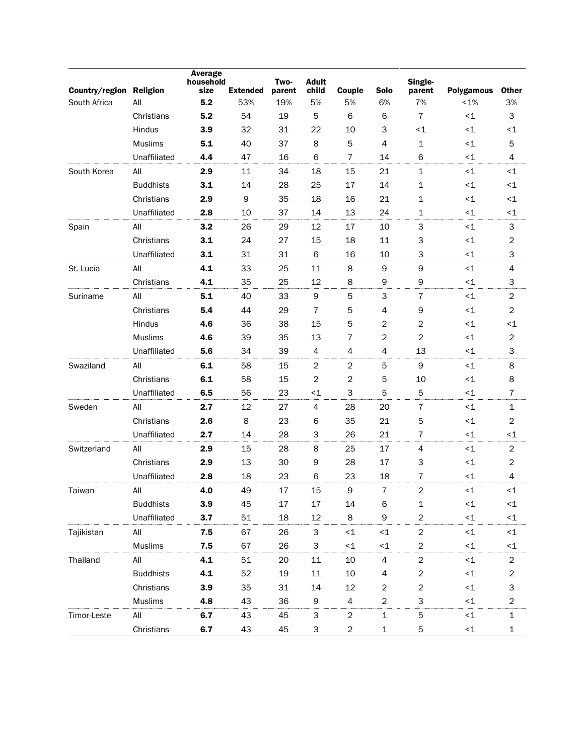| Country/region | <b>Religion</b>  | Average<br>household<br>size | <b>Extended</b> | Two-<br>parent | <b>Adult</b><br>child | Couple           | Solo           | Single-<br>parent | <b>Polygamous</b> | <b>Other</b>            |
|----------------|------------------|------------------------------|-----------------|----------------|-----------------------|------------------|----------------|-------------------|-------------------|-------------------------|
| South Africa   | All              | 5.2                          | 53%             | 19%            | 5%                    | 5%               | 6%             | 7%                | $< 1\%$           | 3%                      |
|                | Christians       | 5.2                          | 54              | 19             | 5                     | 6                | 6              | $\overline{7}$    | ${<}1$            | 3                       |
|                | Hindus           | 3.9                          | 32              | 31             | 22                    | 10               | 3              | $\leq$ 1          | ${<}1$            | $\leq$ 1                |
|                | Muslims          | 5.1                          | 40              | 37             | 8                     | 5                | 4              | $\mathbf 1$       | ${<}1$            | 5                       |
|                | Unaffiliated     | 4.4                          | 47              | 16             | 6                     | 7                | 14             | 6                 | ${<}1$            | 4                       |
| South Korea    | All              | 2.9                          | 11              | 34             | 18                    | 15               | 21             | $\mathbf{1}$      | ${<}1$            | $<$ 1                   |
|                | <b>Buddhists</b> | 3.1                          | 14              | 28             | 25                    | 17               | 14             | 1                 | ${<}1$            | $\leq$ 1                |
|                | Christians       | 2.9                          | 9               | 35             | 18                    | 16               | 21             | $\mathbf 1$       | ${ <}1 \,$        | $\leq$ 1                |
|                | Unaffiliated     | 2.8                          | 10              | 37             | 14                    | 13               | 24             | 1                 | ${<}1$            | $\leq$ 1                |
| Spain          | All              | 3.2                          | 26              | 29             | 12                    | 17               | 10             | 3                 | ${<}1$            | 3                       |
|                | Christians       | 3.1                          | 24              | 27             | 15                    | 18               | 11             | 3                 | ~1                | $\overline{c}$          |
|                | Unaffiliated     | 3.1                          | 31              | 31             | 6                     | 16               | 10             | 3                 | ${<}1$            | 3                       |
| St. Lucia      | All              | 4.1                          | 33              | 25             | 11                    | 8                | 9              | $\mathsf 9$       | ~1                | 4                       |
|                | Christians       | 4.1                          | 35              | 25             | 12                    | 8                | 9              | 9                 | ${<}1$            | 3                       |
| Suriname       | All              | 5.1                          | 40              | 33             | 9                     | 5                | 3              | $\overline{7}$    | ${<}1$            | $\boldsymbol{2}$        |
|                | Christians       | 5.4                          | 44              | 29             | 7                     | 5                | 4              | 9                 | ${<}1$            | $\overline{c}$          |
|                | Hindus           | 4.6                          | 36              | 38             | 15                    | 5                | $\overline{c}$ | $\overline{2}$    | ${<}1$            | $\leq$ 1                |
|                | Muslims          | 4.6                          | 39              | 35             | 13                    | 7                | $\overline{c}$ | $\overline{2}$    | ~1                | $\overline{c}$          |
|                | Unaffiliated     | 5.6                          | 34              | 39             | 4                     | 4                | 4              | 13                | ~1                | 3                       |
| Swaziland      | All              | 6.1                          | 58              | 15             | $\boldsymbol{2}$      | $\boldsymbol{2}$ | $\sqrt{5}$     | $\mathsf 9$       | $<$ 1             | 8                       |
|                | Christians       | 6.1                          | 58              | 15             | $\overline{c}$        | $\mathbf 2$      | 5              | 10                | $\leq$ 1          | 8                       |
|                | Unaffiliated     | 6.5                          | 56              | 23             | ${<}1$                | 3                | 5              | 5                 | ${<}1$            | 7                       |
| Sweden         | All              | 2.7                          | 12              | 27             | 4                     | 28               | 20             | $\overline{7}$    | ${<}1$            | 1                       |
|                | Christians       | 2.6                          | 8               | 23             | 6                     | 35               | 21             | 5                 | ${<}1$            | $\overline{c}$          |
|                | Unaffiliated     | 2.7                          | 14              | 28             | 3                     | 26               | 21             | $\overline{7}$    | ${<}1$            | $\leq$ 1                |
| Switzerland    | All              | 2.9                          | 15              | 28             | 8                     | 25               | 17             | $\overline{4}$    | ${<}1$            | $\overline{c}$          |
|                | Christians       | 2.9                          | 13              | 30             | 9                     | 28               | 17             | 3                 | ${<}1$            | $\overline{c}$          |
|                | Unaffiliated     | 2.8                          | 18              | 23             | 6                     | 23               | 18             | 7                 | ${<}1$            | 4                       |
| Taiwan         | All              | 4.0                          | 49              | 17             | 15                    | 9                | $\overline{7}$ | 2                 | ${<}1$            | $<$ 1                   |
|                | <b>Buddhists</b> | 3.9                          | 45              | 17             | 17                    | 14               | 6              | 1                 | ${ <}1 \,$        | ${<}1$                  |
|                | Unaffiliated     | 3.7                          | 51              | 18             | 12                    | 8                | 9              | $\overline{c}$    | ${<}1$            | ${<}1$                  |
| Tajikistan     | All              | 7.5                          | 67              | 26             | 3                     | $\leq$ 1         | ${<}1$         | $\boldsymbol{2}$  | ${ <}1 \,$        | $\leq$ 1                |
|                | <b>Muslims</b>   | 7.5                          | 67              | 26             | 3                     | $\leq$ 1         | ${<}\,1$       | $\overline{c}$    | ${<}1$            | $\leq$ 1                |
| Thailand       | All              | 4.1                          | 51              | 20             | $11\,$                | 10               | 4              | $\overline{c}$    | ${<}1$            | $\overline{c}$          |
|                | <b>Buddhists</b> | 4.1                          | 52              | 19             | 11                    | $10$             | 4              | $\overline{c}$    | ${<}1$            | $\overline{c}$          |
|                | Christians       | 3.9                          | 35              | 31             | 14                    | 12               | 2              | 2                 | ${ <}1 \,$        | 3                       |
|                | <b>Muslims</b>   | 4.8                          | 43              | 36             | 9                     | 4                | $\overline{2}$ | 3                 | ${<}1$            | $\overline{\mathbf{c}}$ |
| Timor-Leste    | All              | 6.7                          | 43              | 45             | 3                     | 2                | $\mathbf 1$    | 5                 | $\leq$ 1          | $\mathbf 1$             |
|                | Christians       | 6.7                          | 43              | 45             | 3                     | 2                | $\mathbf 1$    | 5                 | ${ <}1 \,$        | $\mathbf 1$             |